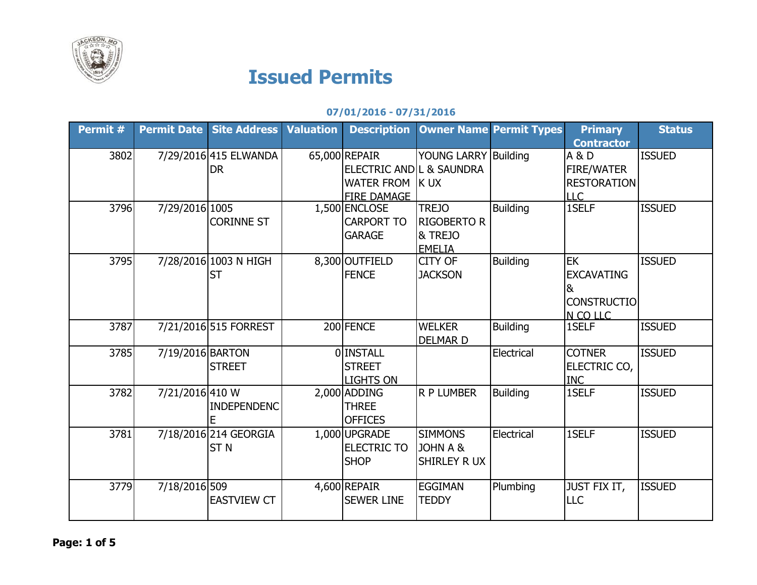

## **Issued Permits**

## **07/01/2016 - 07/31/2016**

| Permit # |                  | <b>Permit Date Site Address Valuation</b> | <b>Description</b>                                                                 |                                                                           | <b>Owner Name Permit Types</b> | <b>Primary</b>                                                               | <b>Status</b> |
|----------|------------------|-------------------------------------------|------------------------------------------------------------------------------------|---------------------------------------------------------------------------|--------------------------------|------------------------------------------------------------------------------|---------------|
| 3802     |                  | 7/29/2016 415 ELWANDA<br>DR               | 65,000 REPAIR<br>ELECTRIC ANDIL & SAUNDRA<br>WATER FROM K UX<br><b>FIRE DAMAGE</b> | <b>YOUNG LARRY Building</b>                                               |                                | <b>Contractor</b><br>A & D<br>FIRE/WATER<br><b>RESTORATION</b><br><b>LLC</b> | <b>ISSUED</b> |
| 3796     | 7/29/2016 1005   | <b>CORINNE ST</b>                         | 1,500 ENCLOSE<br><b>CARPORT TO</b><br><b>GARAGE</b>                                | <b>TREJO</b><br><b>RIGOBERTO R</b><br><b>&amp; TREJO</b><br><b>EMELIA</b> | <b>Building</b>                | 1SELF                                                                        | <b>ISSUED</b> |
| 3795     |                  | 7/28/2016 1003 N HIGH<br><b>ST</b>        | 8,300 OUTFIELD<br><b>FENCE</b>                                                     | <b>CITY OF</b><br><b>JACKSON</b>                                          | <b>Building</b>                | <b>EK</b><br><b>EXCAVATING</b><br>&<br><b>CONSTRUCTIO</b><br>N CO LLC        | <b>ISSUED</b> |
| 3787     |                  | 7/21/2016 515 FORREST                     | 200 FENCE                                                                          | <b>WELKER</b><br><b>DELMARD</b>                                           | <b>Building</b>                | 1SELF                                                                        | <b>ISSUED</b> |
| 3785     | 7/19/2016 BARTON | <b>STREET</b>                             | OINSTALL<br><b>STREET</b><br><b>LIGHTS ON</b>                                      |                                                                           | Electrical                     | <b>COTNER</b><br>ELECTRIC CO,<br><b>INC</b>                                  | <b>ISSUED</b> |
| 3782     | 7/21/2016 410 W  | <b>INDEPENDENC</b><br>E                   | 2,000 ADDING<br><b>THREE</b><br><b>OFFICES</b>                                     | <b>R P LUMBER</b>                                                         | <b>Building</b>                | 1SELF                                                                        | <b>ISSUED</b> |
| 3781     |                  | 7/18/2016 214 GEORGIA<br><b>STN</b>       | 1,000 UPGRADE<br><b>ELECTRIC TO</b><br><b>SHOP</b>                                 | <b>SIMMONS</b><br>JOHN A &<br><b>SHIRLEY R UX</b>                         | Electrical                     | 1SELF                                                                        | <b>ISSUED</b> |
| 3779     | 7/18/2016 509    | <b>EASTVIEW CT</b>                        | 4,600 REPAIR<br><b>SEWER LINE</b>                                                  | <b>EGGIMAN</b><br><b>TEDDY</b>                                            | Plumbing                       | <b>JUST FIX IT,</b><br>LLC                                                   | <b>ISSUED</b> |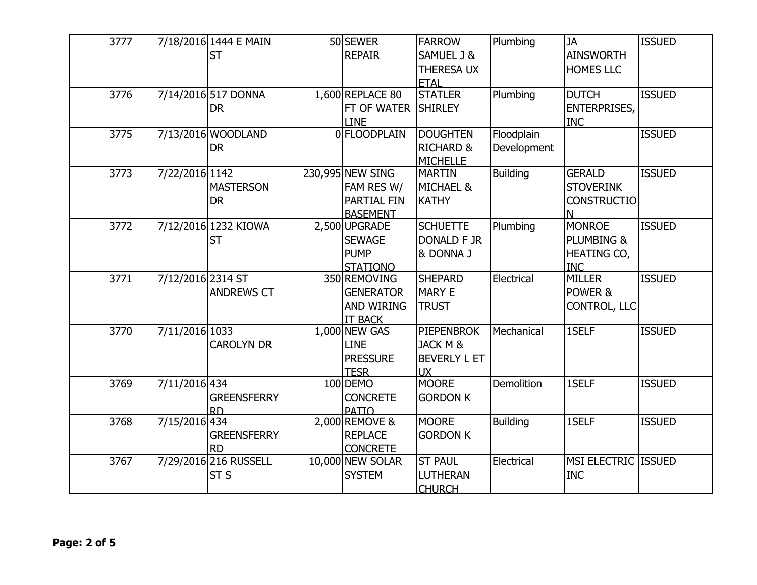| 3777 |                   | 7/18/2016 1444 E MAIN<br><b>ST</b>   | 50 SEWER<br><b>REPAIR</b>                                               | <b>FARROW</b><br>SAMUEL J &<br><b>THERESA UX</b><br><b>ETAL</b>              | Plumbing                  | <b>JA</b><br><b>AINSWORTH</b><br><b>HOMES LLC</b>                   | <b>ISSUED</b> |
|------|-------------------|--------------------------------------|-------------------------------------------------------------------------|------------------------------------------------------------------------------|---------------------------|---------------------------------------------------------------------|---------------|
| 3776 |                   | 7/14/2016 517 DONNA<br><b>DR</b>     | 1,600 REPLACE 80<br>FT OF WATER<br><b>LINE</b>                          | <b>STATLER</b><br><b>SHIRLEY</b>                                             | Plumbing                  | <b>DUTCH</b><br><b>ENTERPRISES,</b><br><b>INC</b>                   | <b>ISSUED</b> |
| 3775 |                   | 7/13/2016 WOODLAND<br><b>DR</b>      | 0 FLOODPLAIN                                                            | <b>DOUGHTEN</b><br><b>RICHARD &amp;</b><br><b>MICHELLE</b>                   | Floodplain<br>Development |                                                                     | <b>ISSUED</b> |
| 3773 | 7/22/2016 1142    | <b>MASTERSON</b><br><b>DR</b>        | 230,995 NEW SING<br>FAM RES W/<br>PARTIAL FIN<br><b>BASEMENT</b>        | <b>MARTIN</b><br><b>MICHAEL &amp;</b><br><b>KATHY</b>                        | <b>Building</b>           | <b>GERALD</b><br><b>STOVERINK</b><br><b>CONSTRUCTIO</b><br>N        | <b>ISSUED</b> |
| 3772 |                   | 7/12/2016 1232 KIOWA<br><b>ST</b>    | 2,500 UPGRADE<br><b>SEWAGE</b><br><b>PUMP</b><br><b>STATIONO</b>        | <b>SCHUETTE</b><br><b>DONALD F JR</b><br>& DONNA J                           | Plumbing                  | <b>MONROE</b><br><b>PLUMBING &amp;</b><br>HEATING CO,<br><b>INC</b> | <b>ISSUED</b> |
| 3771 | 7/12/2016 2314 ST | <b>ANDREWS CT</b>                    | 350 REMOVING<br><b>GENERATOR</b><br><b>AND WIRING</b><br><b>IT BACK</b> | <b>SHEPARD</b><br><b>MARY E</b><br><b>TRUST</b>                              | Electrical                | <b>MILLER</b><br>POWER &<br>CONTROL, LLC                            | <b>ISSUED</b> |
| 3770 | 7/11/2016 1033    | <b>CAROLYN DR</b>                    | 1,000 NEW GAS<br><b>LINE</b><br><b>PRESSURE</b><br><b>TESR</b>          | <b>PIEPENBROK</b><br><b>JACK M &amp;</b><br><b>BEVERLY L ET</b><br><b>UX</b> | Mechanical                | 1SELF                                                               | <b>ISSUED</b> |
| 3769 | 7/11/2016 434     | <b>GREENSFERRY</b><br>R <sub>D</sub> | 100 DEMO<br><b>CONCRETE</b><br><b>PATIO</b>                             | <b>MOORE</b><br><b>GORDON K</b>                                              | Demolition                | 1SELF                                                               | <b>ISSUED</b> |
| 3768 | 7/15/2016 434     | <b>GREENSFERRY</b><br><b>RD</b>      | 2,000 REMOVE &<br><b>REPLACE</b><br><b>CONCRETE</b>                     | <b>MOORE</b><br><b>GORDON K</b>                                              | <b>Building</b>           | 1SELF                                                               | <b>ISSUED</b> |
| 3767 |                   | 7/29/2016 216 RUSSELL<br><b>ST S</b> | 10,000 NEW SOLAR<br><b>SYSTEM</b>                                       | <b>ST PAUL</b><br><b>LUTHERAN</b><br><b>CHURCH</b>                           | Electrical                | MSI ELECTRIC ISSUED<br><b>INC</b>                                   |               |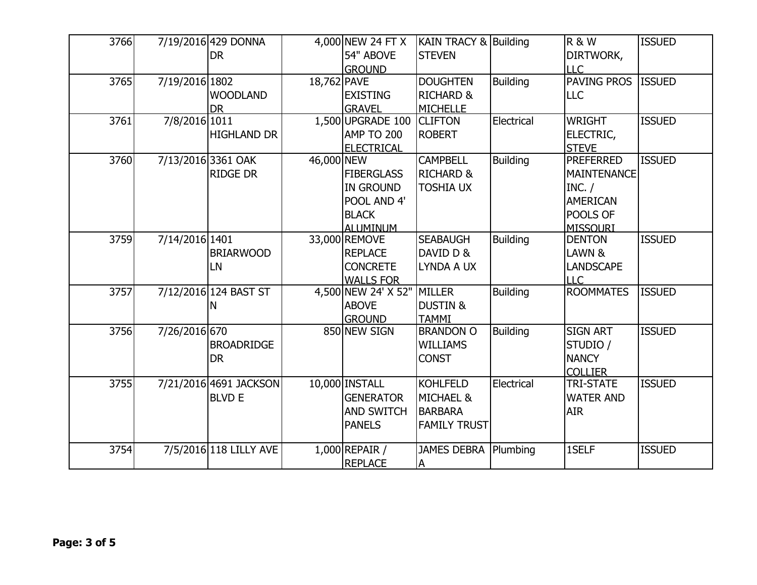| 3766 |                | 7/19/2016 429 DONNA<br><b>DR</b>        |             | 4,000 NEW 24 FT X<br>54" ABOVE<br><b>GROUND</b>                                  | <b>KAIN TRACY &amp; Building</b><br><b>STEVEN</b>                                |                 | <b>R &amp; W</b><br>DIRTWORK,<br><b>LLC</b>                                                        | <b>ISSUED</b> |
|------|----------------|-----------------------------------------|-------------|----------------------------------------------------------------------------------|----------------------------------------------------------------------------------|-----------------|----------------------------------------------------------------------------------------------------|---------------|
| 3765 | 7/19/2016 1802 | <b>WOODLAND</b><br><b>DR</b>            | 18,762 PAVE | <b>EXISTING</b><br><b>GRAVEL</b>                                                 | <b>DOUGHTEN</b><br><b>RICHARD &amp;</b><br><b>MICHELLE</b>                       | <b>Building</b> | PAVING PROS ISSUED<br><b>LLC</b>                                                                   |               |
| 3761 | 7/8/2016 1011  | <b>HIGHLAND DR</b>                      |             | 1,500 UPGRADE 100<br>AMP TO 200<br><b>ELECTRICAL</b>                             | <b>CLIFTON</b><br><b>ROBERT</b>                                                  | Electrical      | <b>WRIGHT</b><br>ELECTRIC,<br><b>STEVE</b>                                                         | <b>ISSUED</b> |
| 3760 |                | 7/13/2016 3361 OAK<br><b>RIDGE DR</b>   | 46,000 NEW  | <b>FIBERGLASS</b><br><b>IN GROUND</b><br>POOL AND 4'<br><b>BLACK</b><br>ALUMINUM | <b>CAMPBELL</b><br>RICHARD &<br><b>TOSHIA UX</b>                                 | <b>Building</b> | <b>PREFERRED</b><br><b>MAINTENANCE</b><br>INC. /<br><b>AMERICAN</b><br>POOLS OF<br><b>MISSOURI</b> | <b>ISSUED</b> |
| 3759 | 7/14/2016 1401 | <b>BRIARWOOD</b><br>LN                  |             | 33,000 REMOVE<br><b>REPLACE</b><br><b>CONCRETE</b><br><b>WALLS FOR</b>           | <b>SEABAUGH</b><br>DAVID D &<br>LYNDA A UX                                       | <b>Building</b> | <b>DENTON</b><br>LAWN &<br><b>LANDSCAPE</b><br><b>LLC</b>                                          | <b>ISSUED</b> |
| 3757 |                | 7/12/2016 124 BAST ST<br>N              |             | 4,500 NEW 24' X 52"<br><b>ABOVE</b><br><b>GROUND</b>                             | MILLER<br><b>DUSTIN &amp;</b><br><b>TAMMI</b>                                    | <b>Building</b> | <b>ROOMMATES</b>                                                                                   | <b>ISSUED</b> |
| 3756 | 7/26/2016 670  | <b>BROADRIDGE</b><br><b>DR</b>          |             | 850 NEW SIGN                                                                     | <b>BRANDON O</b><br><b>WILLIAMS</b><br><b>CONST</b>                              | <b>Building</b> | <b>SIGN ART</b><br>STUDIO /<br><b>NANCY</b><br><b>COLLIER</b>                                      | <b>ISSUED</b> |
| 3755 |                | 7/21/2016 4691 JACKSON<br><b>BLVD E</b> |             | 10,000 INSTALL<br><b>GENERATOR</b><br><b>AND SWITCH</b><br><b>PANELS</b>         | <b>KOHLFELD</b><br><b>MICHAEL &amp;</b><br><b>BARBARA</b><br><b>FAMILY TRUST</b> | Electrical      | <b>TRI-STATE</b><br><b>WATER AND</b><br><b>AIR</b>                                                 | <b>ISSUED</b> |
| 3754 |                | 7/5/2016 118 LILLY AVE                  |             | $1,000$ REPAIR /<br><b>REPLACE</b>                                               | JAMES DEBRA   Plumbing<br>ΙA                                                     |                 | 1SELF                                                                                              | <b>ISSUED</b> |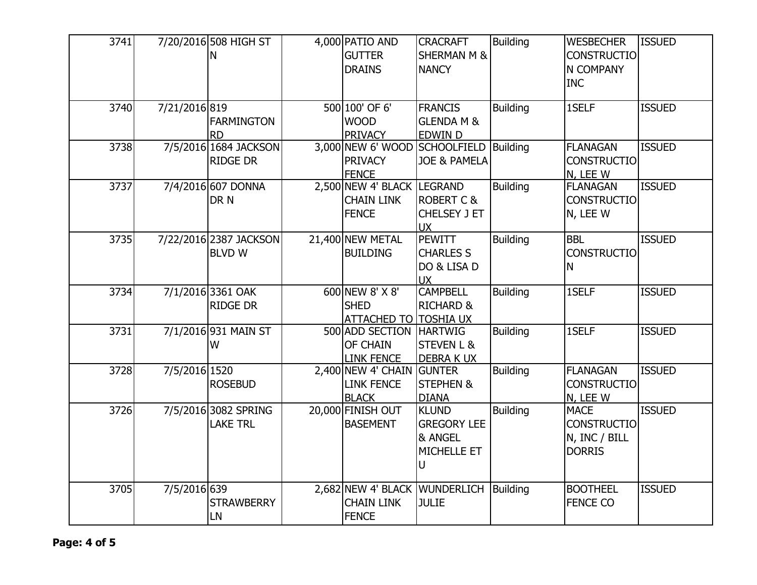| 3741 |               | 7/20/2016 508 HIGH ST<br>N               | 4,000 PATIO AND<br><b>GUTTER</b><br><b>DRAINS</b>                  | <b>CRACRAFT</b><br><b>SHERMAN M &amp;</b><br><b>NANCY</b>         | <b>Building</b> | <b>WESBECHER</b><br><b>CONSTRUCTIO</b><br>N COMPANY<br><b>INC</b>   | <b>ISSUED</b> |
|------|---------------|------------------------------------------|--------------------------------------------------------------------|-------------------------------------------------------------------|-----------------|---------------------------------------------------------------------|---------------|
| 3740 | 7/21/2016 819 | FARMINGTON<br><b>RD</b>                  | 500 100' OF 6'<br><b>WOOD</b><br><b>PRIVACY</b>                    | <b>FRANCIS</b><br><b>GLENDA M &amp;</b><br><b>EDWIN D</b>         | <b>Building</b> | 1SELF                                                               | <b>ISSUED</b> |
| 3738 |               | 7/5/2016 1684 JACKSON<br><b>RIDGE DR</b> | 3,000 NEW 6' WOOD<br><b>PRIVACY</b><br><b>FENCE</b>                | SCHOOLFIELD   Building<br>JOE & PAMELA                            |                 | <b>FLANAGAN</b><br><b>CONSTRUCTIO</b><br>N, LEE W                   | <b>ISSUED</b> |
| 3737 |               | 7/4/2016 607 DONNA<br>DR N               | 2,500 NEW 4' BLACK LEGRAND<br><b>CHAIN LINK</b><br><b>FENCE</b>    | <b>ROBERT C &amp;</b><br><b>CHELSEY J ET</b><br><b>UX</b>         | <b>Building</b> | <b>FLANAGAN</b><br><b>CONSTRUCTIO</b><br>N, LEE W                   | <b>ISSUED</b> |
| 3735 |               | 7/22/2016 2387 JACKSON<br><b>BLVD W</b>  | 21,400 NEW METAL<br><b>BUILDING</b>                                | <b>PEWITT</b><br><b>CHARLES S</b><br>DO & LISA D<br>UX            | <b>Building</b> | <b>BBL</b><br><b>CONSTRUCTIO</b><br>N.                              | <b>ISSUED</b> |
| 3734 |               | 7/1/2016 3361 OAK<br><b>RIDGE DR</b>     | 600 NEW 8' X 8'<br><b>SHED</b><br><b>ATTACHED TO TOSHIA UX</b>     | <b>CAMPBELL</b><br><b>RICHARD &amp;</b>                           | <b>Building</b> | 1SELF                                                               | <b>ISSUED</b> |
| 3731 |               | 7/1/2016 931 MAIN ST<br>W                | 500 ADD SECTION<br>OF CHAIN<br><b>LINK FENCE</b>                   | <b>HARTWIG</b><br><b>STEVEN L &amp;</b><br><b>DEBRAKUX</b>        | <b>Building</b> | 1SELF                                                               | <b>ISSUED</b> |
| 3728 | 7/5/2016 1520 | <b>ROSEBUD</b>                           | 2,400 NEW 4' CHAIN<br><b>LINK FENCE</b><br><b>BLACK</b>            | <b>GUNTER</b><br><b>STEPHEN &amp;</b><br><b>DIANA</b>             | <b>Building</b> | <b>FLANAGAN</b><br><b>CONSTRUCTIO</b><br>N, LEE W                   | <b>ISSUED</b> |
| 3726 |               | 7/5/2016 3082 SPRING<br><b>LAKE TRL</b>  | 20,000 FINISH OUT<br><b>BASEMENT</b>                               | <b>KLUND</b><br><b>GREGORY LEE</b><br>& ANGEL<br>MICHELLE ET<br>U | <b>Building</b> | <b>MACE</b><br><b>CONSTRUCTIO</b><br>N, INC / BILL<br><b>DORRIS</b> | <b>ISSUED</b> |
| 3705 | 7/5/2016 639  | <b>STRAWBERRY</b><br>LN                  | 2,682 NEW 4' BLACK WUNDERLICH<br><b>CHAIN LINK</b><br><b>FENCE</b> | JULIE                                                             | Building        | <b>BOOTHEEL</b><br><b>FENCE CO</b>                                  | <b>ISSUED</b> |